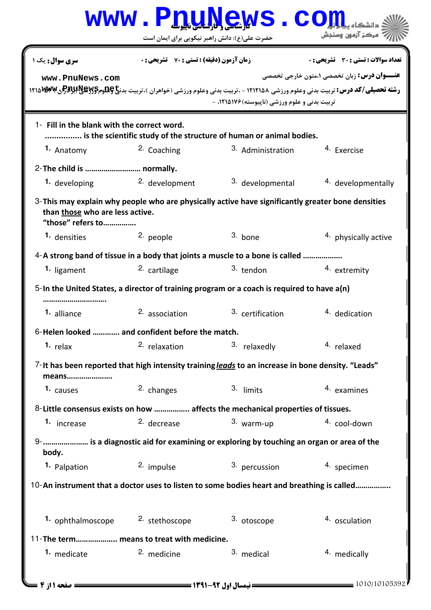|                                                                                                                                                              | <b>WWW.PDUL</b>                                    | ews .                                                                                  |                                                    |  |  |
|--------------------------------------------------------------------------------------------------------------------------------------------------------------|----------------------------------------------------|----------------------------------------------------------------------------------------|----------------------------------------------------|--|--|
|                                                                                                                                                              | حضرت علی(ع): دانش راهبر نیکویی برای ایمان است      |                                                                                        | مركز آزمون وسنجش                                   |  |  |
| سری سوال: یک ۱                                                                                                                                               | <b>زمان آزمون (دقیقه) : تستی : 70 ٪ تشریحی : 0</b> |                                                                                        | <b>تعداد سوالات : تستي : 30 ٪ تشريحي : 0</b>       |  |  |
| www.PnuNews.com                                                                                                                                              |                                                    |                                                                                        | <b>عنـــوان درس:</b> زبان تخصصی ۱،متون خارجی تخصصی |  |  |
| <b>رشته تحصیلی/کد درس:</b> تربیت بدنی وعلوم ورزشی ۱۲۱۲۱۵۸ - ،تربیت بدنی وعلوم ورزشی (خواهران )،تربیت بدن <del>یا @EM</del> پومBMWوهBMWوه                     |                                                    |                                                                                        |                                                    |  |  |
|                                                                                                                                                              |                                                    | تربیت بدنی و علوم ورزشی (ناپیوسته) ۱۲۱۵۱۷۶، -                                          |                                                    |  |  |
| 1- Fill in the blank with the correct word.                                                                                                                  |                                                    | is the scientific study of the structure of human or animal bodies.                    |                                                    |  |  |
| 1. Anatomy                                                                                                                                                   | <sup>2.</sup> Coaching                             | 3. Administration                                                                      | 4. Exercise                                        |  |  |
| 2-The child is  normally.                                                                                                                                    |                                                    |                                                                                        |                                                    |  |  |
| 1. developing                                                                                                                                                | 2. development                                     | 3. developmental                                                                       | 4. developmentally                                 |  |  |
| $3$ -This may explain why people who are physically active have significantly greater bone densities<br>than those who are less active.<br>"those" refers to |                                                    |                                                                                        |                                                    |  |  |
| 1. densities                                                                                                                                                 | 2. people                                          | 3. bone                                                                                | 4. physically active                               |  |  |
| 4-A strong band of tissue in a body that joints a muscle to a bone is called                                                                                 |                                                    |                                                                                        |                                                    |  |  |
| 1. ligament                                                                                                                                                  | 2. cartilage                                       | 3. tendon                                                                              | 4. extremity                                       |  |  |
| $5$ -In the United States, a director of training program or a coach is required to have $a(n)$                                                              |                                                    |                                                                                        |                                                    |  |  |
| 1. alliance                                                                                                                                                  | <sup>2</sup> association                           | 3. certification                                                                       | 4. dedication                                      |  |  |
| 6-Helen looked  and confident before the match.                                                                                                              |                                                    |                                                                                        |                                                    |  |  |
| $1.$ relax                                                                                                                                                   | <sup>2</sup> relaxation                            | 3. relaxedly                                                                           | 4. relaxed                                         |  |  |
| 7-It has been reported that high intensity training leads to an increase in bone density. "Leads"<br>means                                                   |                                                    |                                                                                        |                                                    |  |  |
| 1. causes                                                                                                                                                    | 2. changes                                         | 3. limits                                                                              | 4. examines                                        |  |  |
|                                                                                                                                                              |                                                    | 8-Little consensus exists on how  affects the mechanical properties of tissues.        |                                                    |  |  |
| 1. increase                                                                                                                                                  | <sup>2.</sup> decrease                             | 3. warm-up                                                                             | 4. cool-down                                       |  |  |
| body.                                                                                                                                                        |                                                    | 9-  is a diagnostic aid for examining or exploring by touching an organ or area of the |                                                    |  |  |
| 1. Palpation                                                                                                                                                 | 2. impulse                                         | 3. percussion                                                                          | 4. specimen                                        |  |  |
| 10-An instrument that a doctor uses to listen to some bodies heart and breathing is called                                                                   |                                                    |                                                                                        |                                                    |  |  |
| 1. ophthalmoscope                                                                                                                                            | 2. stethoscope                                     | 3. otoscope                                                                            | 4. osculation                                      |  |  |
| 11-The term means to treat with medicine.                                                                                                                    |                                                    |                                                                                        |                                                    |  |  |
| 1. medicate                                                                                                                                                  | <sup>2.</sup> medicine                             | 3. medical                                                                             | 4. medically                                       |  |  |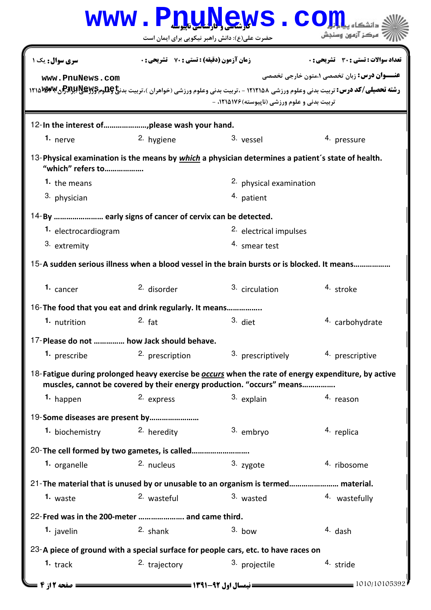|                                                                                                                                                                                     | <b>WWW.PnuM</b>                                    | <b>GWS.CO</b>                                 |                                                                                                                                                                                                |  |  |
|-------------------------------------------------------------------------------------------------------------------------------------------------------------------------------------|----------------------------------------------------|-----------------------------------------------|------------------------------------------------------------------------------------------------------------------------------------------------------------------------------------------------|--|--|
|                                                                                                                                                                                     | حضرت علی(ع): دانش راهبر نیکویی برای ایمان است      |                                               | مركز آزمون وسنجش                                                                                                                                                                               |  |  |
| سری سوال: یک ۱                                                                                                                                                                      | <b>زمان آزمون (دقیقه) : تستی : 70 ٪ تشریحی : 0</b> |                                               | تعداد سوالات : تستي : 30 - تشريحي : 0                                                                                                                                                          |  |  |
| www.PnuNews.com                                                                                                                                                                     |                                                    | تربیت بدنی و علوم ورزشی (ناپیوسته) ۱۲۱۵۱۷۶، - | <b>عنـــوان درس:</b> زبان تخصصي ۱،متون خارجي تخصصي<br><b>رشته تحصیلی/کد درس:</b> تربیت بدنی وعلوم ورزشی ۱۲۱۲۱۵۸ - ،تربیت بدنی وعلوم ورزشی (خواهران )،تربیت بدن <b>خ 14پرBAY و ۱۲۱۵ WW</b> ۱۲۱۵ |  |  |
|                                                                                                                                                                                     |                                                    |                                               |                                                                                                                                                                                                |  |  |
| 1. nerve                                                                                                                                                                            | 2. hygiene                                         | 3. vessel                                     | 4. pressure                                                                                                                                                                                    |  |  |
| 13-Physical examination is the means by <i>which</i> a physician determines a patient's state of health.<br>"which" refers to                                                       |                                                    |                                               |                                                                                                                                                                                                |  |  |
| 1. the means                                                                                                                                                                        |                                                    | 2. physical examination                       |                                                                                                                                                                                                |  |  |
| 3. physician                                                                                                                                                                        |                                                    | 4. patient                                    |                                                                                                                                                                                                |  |  |
| 14-By  early signs of cancer of cervix can be detected.                                                                                                                             |                                                    |                                               |                                                                                                                                                                                                |  |  |
| 1. electrocardiogram                                                                                                                                                                |                                                    | <sup>2.</sup> electrical impulses             |                                                                                                                                                                                                |  |  |
| 3. extremity                                                                                                                                                                        |                                                    | 4. smear test                                 |                                                                                                                                                                                                |  |  |
| 15-A sudden serious illness when a blood vessel in the brain bursts or is blocked. It means                                                                                         |                                                    |                                               |                                                                                                                                                                                                |  |  |
| 1. cancer                                                                                                                                                                           | 2. disorder                                        | <sup>3.</sup> circulation                     | 4. stroke                                                                                                                                                                                      |  |  |
| 16-The food that you eat and drink regularly. It means                                                                                                                              |                                                    |                                               |                                                                                                                                                                                                |  |  |
| 1. nutrition                                                                                                                                                                        | $2.$ fat                                           | 3. diet                                       | 4. carbohydrate                                                                                                                                                                                |  |  |
| 17-Please do not  how Jack should behave.                                                                                                                                           |                                                    |                                               |                                                                                                                                                                                                |  |  |
| 1. prescribe                                                                                                                                                                        | <sup>2</sup> prescription                          | 3. prescriptively                             | 4. prescriptive                                                                                                                                                                                |  |  |
| 18-Fatigue during prolonged heavy exercise be <b>occurs</b> when the rate of energy expenditure, by active<br>muscles, cannot be covered by their energy production. "occurs" means |                                                    |                                               |                                                                                                                                                                                                |  |  |
| 1. happen                                                                                                                                                                           | 2. express                                         | 3. explain                                    | 4. reason                                                                                                                                                                                      |  |  |
| 19-Some diseases are present by                                                                                                                                                     |                                                    |                                               |                                                                                                                                                                                                |  |  |
| 1. biochemistry                                                                                                                                                                     | <sup>2.</sup> heredity                             | 3. embryo                                     | 4. replica                                                                                                                                                                                     |  |  |
| 20-The cell formed by two gametes, is called                                                                                                                                        |                                                    |                                               |                                                                                                                                                                                                |  |  |
| 1. organelle                                                                                                                                                                        | 2. nucleus                                         | 3. zygote                                     | 4. ribosome                                                                                                                                                                                    |  |  |
| 21-The material that is unused by or unusable to an organism is termed material.                                                                                                    |                                                    |                                               |                                                                                                                                                                                                |  |  |
| 1. waste                                                                                                                                                                            | 2. wasteful                                        | 3. wasted                                     | 4. wastefully                                                                                                                                                                                  |  |  |
| 22-Fred was in the 200-meter  and came third.                                                                                                                                       |                                                    |                                               |                                                                                                                                                                                                |  |  |
| 1. javelin                                                                                                                                                                          | 2. shank                                           | $3.$ bow                                      | 4. dash                                                                                                                                                                                        |  |  |
| 23-A piece of ground with a special surface for people cars, etc. to have races on                                                                                                  |                                                    |                                               |                                                                                                                                                                                                |  |  |
| 1. $track$                                                                                                                                                                          | <sup>2.</sup> trajectory                           | 3. projectile                                 | 4. stride                                                                                                                                                                                      |  |  |
| صفحه 12; 4                                                                                                                                                                          |                                                    | <b>= نیمسال اول 92-1391 <del>- - -</del></b>  | = 1010/10105392                                                                                                                                                                                |  |  |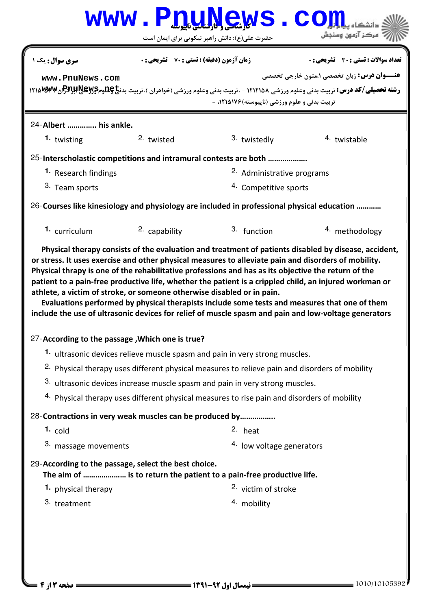|                                                                                                                                                                               |                                                    | www.PnuNews.<br>حضرت علی(ع): دانش راهبر نیکویی برای ایمان است |                                                                                                                                                                                                                                                                                                                 |  |  |
|-------------------------------------------------------------------------------------------------------------------------------------------------------------------------------|----------------------------------------------------|---------------------------------------------------------------|-----------------------------------------------------------------------------------------------------------------------------------------------------------------------------------------------------------------------------------------------------------------------------------------------------------------|--|--|
| <b>سری سوال :</b> یک ۱                                                                                                                                                        | <b>زمان آزمون (دقیقه) : تستی : 70 ٪ تشریحی : 0</b> |                                                               | تعداد سوالات : تستي : 30 - تشريحي : 0                                                                                                                                                                                                                                                                           |  |  |
| www.PnuNews.com                                                                                                                                                               |                                                    |                                                               | <b>عنـــوان درس:</b> زبان تخصصی ۱،متون خارجی تخصصی                                                                                                                                                                                                                                                              |  |  |
|                                                                                                                                                                               |                                                    | تربیت بدنی و علوم ورزشی (ناپیوسته) ۱۲۱۵۱۷۶، -                 | <b>رشته تحصیلی/کد درس:</b> تربیت بدنی وعلوم ورزشی ۱۲۱۲۱۵۸ - ،تربیت بدنی وعلوم ورزشی (خواهران )،تربیت بدن <b>خ پطلوم BAY! ABWW (1۲۱۵ W)</b>                                                                                                                                                                      |  |  |
| 24-Albert  his ankle.                                                                                                                                                         |                                                    |                                                               |                                                                                                                                                                                                                                                                                                                 |  |  |
| 1. twisting                                                                                                                                                                   | 2. twisted                                         | 3. twistedly                                                  | 4. twistable                                                                                                                                                                                                                                                                                                    |  |  |
| 25-Interscholastic competitions and intramural contests are both                                                                                                              |                                                    |                                                               |                                                                                                                                                                                                                                                                                                                 |  |  |
| 1. Research findings                                                                                                                                                          | 2. Administrative programs                         |                                                               |                                                                                                                                                                                                                                                                                                                 |  |  |
| 3. Team sports                                                                                                                                                                |                                                    | 4. Competitive sports                                         |                                                                                                                                                                                                                                                                                                                 |  |  |
| 26-Courses like kinesiology and physiology are included in professional physical education                                                                                    |                                                    |                                                               |                                                                                                                                                                                                                                                                                                                 |  |  |
| 1. curriculum                                                                                                                                                                 | 2. capability                                      | 3. function                                                   | 4. methodology                                                                                                                                                                                                                                                                                                  |  |  |
| Physical thrapy is one of the rehabilitative professions and has as its objective the return of the<br>athlete, a victim of stroke, or someone otherwise disabled or in pain. |                                                    |                                                               | patient to a pain-free productive life, whether the patient is a crippled child, an injured workman or<br>Evaluations performed by physical therapists include some tests and measures that one of them<br>include the use of ultrasonic devices for relief of muscle spasm and pain and low-voltage generators |  |  |
| 27-According to the passage, Which one is true?                                                                                                                               |                                                    |                                                               |                                                                                                                                                                                                                                                                                                                 |  |  |
| 1. ultrasonic devices relieve muscle spasm and pain in very strong muscles.                                                                                                   |                                                    |                                                               |                                                                                                                                                                                                                                                                                                                 |  |  |
|                                                                                                                                                                               |                                                    |                                                               | <sup>2.</sup> Physical therapy uses different physical measures to relieve pain and disorders of mobility                                                                                                                                                                                                       |  |  |
| 3. ultrasonic devices increase muscle spasm and pain in very strong muscles.<br>4. Physical therapy uses different physical measures to rise pain and disorders of mobility   |                                                    |                                                               |                                                                                                                                                                                                                                                                                                                 |  |  |
|                                                                                                                                                                               |                                                    |                                                               |                                                                                                                                                                                                                                                                                                                 |  |  |
| 28-Contractions in very weak muscles can be produced by                                                                                                                       |                                                    |                                                               |                                                                                                                                                                                                                                                                                                                 |  |  |
| $1.$ cold                                                                                                                                                                     |                                                    | 2. heat                                                       |                                                                                                                                                                                                                                                                                                                 |  |  |
| 3. massage movements                                                                                                                                                          |                                                    | 4. Iow voltage generators                                     |                                                                                                                                                                                                                                                                                                                 |  |  |
| 29-According to the passage, select the best choice.<br>The aim of  is to return the patient to a pain-free productive life.                                                  |                                                    |                                                               |                                                                                                                                                                                                                                                                                                                 |  |  |
| 1. physical therapy                                                                                                                                                           |                                                    | <sup>2</sup> victim of stroke                                 |                                                                                                                                                                                                                                                                                                                 |  |  |
| 3. treatment                                                                                                                                                                  |                                                    | 4. mobility                                                   |                                                                                                                                                                                                                                                                                                                 |  |  |
|                                                                                                                                                                               |                                                    |                                                               |                                                                                                                                                                                                                                                                                                                 |  |  |
|                                                                                                                                                                               |                                                    |                                                               |                                                                                                                                                                                                                                                                                                                 |  |  |